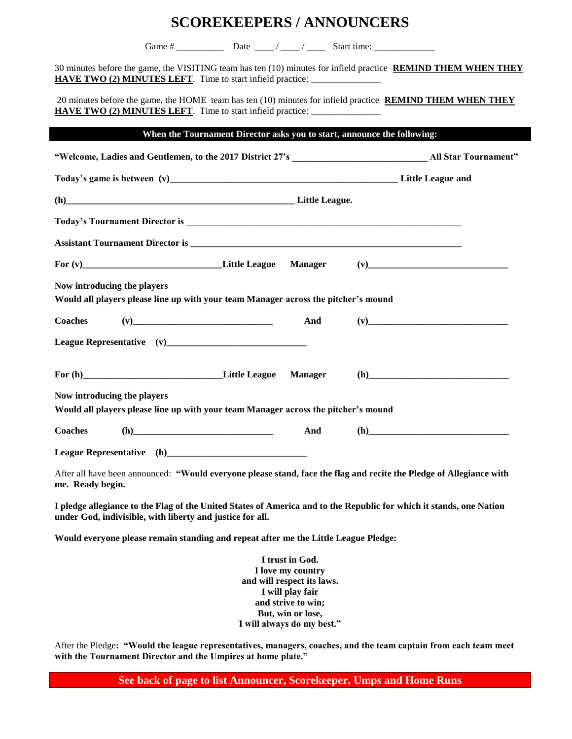## **SCOREKEEPERS / ANNOUNCERS**

Game #  $Date \_\_\_\_\_\_\_\_\_\$  Start time:  $\_\_\_\_\_\$ 30 minutes before the game, the VISITING team has ten (10) minutes for infield practice **REMIND THEM WHEN THEY HAVE TWO (2) MINUTES LEFT.** Time to start infield practice: 20 minutes before the game, the HOME team has ten (10) minutes for infield practice **REMIND THEM WHEN THEY HAVE TWO (2) MINUTES LEFT.** Time to start infield practice: **When the Tournament Director asks you to start, announce the following: "Welcome, Ladies and Gentlemen, to the 2017 District 27's \_\_\_\_\_\_\_\_\_\_\_\_\_\_\_\_\_\_\_\_\_\_\_\_\_\_\_\_\_ All Star Tournament"** Today's game is between (v) **Today's game is between** (v) **Little League and (h)\_\_\_\_\_\_\_\_\_\_\_\_\_\_\_\_\_\_\_\_\_\_\_\_\_\_\_\_\_\_\_\_\_\_\_\_\_\_\_\_\_\_\_\_\_\_\_\_\_ Little League.** Today's Tournament Director is **Assistant Tournament Director is \_\_\_\_\_\_\_\_\_\_\_\_\_\_\_\_\_\_\_\_\_\_\_\_\_\_\_\_\_\_\_\_\_\_\_\_\_\_\_\_\_\_\_\_\_\_\_\_\_\_\_\_\_\_\_\_\_\_** For (v) The League **Manager** (v) The League **Manager** (v) **Now introducing the players Would all players please line up with your team Manager across the pitcher's mound Coaches (v)\_\_\_\_\_\_\_\_\_\_\_\_\_\_\_\_\_\_\_\_\_\_\_\_\_\_\_\_\_\_ And (v)\_\_\_\_\_\_\_\_\_\_\_\_\_\_\_\_\_\_\_\_\_\_\_\_\_\_\_\_\_\_** League Representative (v) For (h) **For (h) Example 1** Little League **Manager (h) Now introducing the players Would all players please line up with your team Manager across the pitcher's mound** Coaches (h)  $\qquad \qquad \text{And} \qquad \qquad \text{(h)}$ **League Representative (h)\_\_\_\_\_\_\_\_\_\_\_\_\_\_\_\_\_\_\_\_\_\_\_\_\_\_\_\_\_\_** After all have been announced: **"Would everyone please stand, face the flag and recite the Pledge of Allegiance with** 

**I pledge allegiance to the Flag of the United States of America and to the Republic for which it stands, one Nation** 

**Would everyone please remain standing and repeat after me the Little League Pledge:**

**under God, indivisible, with liberty and justice for all.**

**me. Ready begin.**

**I trust in God. I love my country and will respect its laws. I will play fair and strive to win; But, win or lose, I will always do my best."**

After the Pledge**: "Would the league representatives, managers, coaches, and the team captain from each team meet with the Tournament Director and the Umpires at home plate."**

**See back of page to list Announcer, Scorekeeper, Umps and Home Runs**